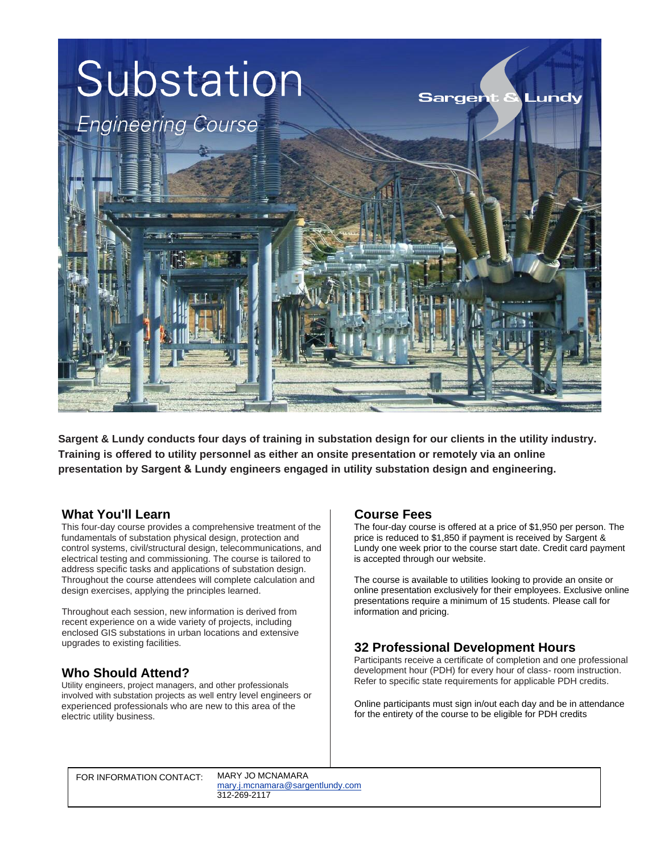

**Sargent & Lundy conducts four days of training in substation design for our clients in the utility industry. Training is offered to utility personnel as either an onsite presentation or remotely via an online presentation by Sargent & Lundy engineers engaged in utility substation design and engineering.**

### **What You'll Learn**

This four-day course provides a comprehensive treatment of the fundamentals of substation physical design, protection and control systems, civil/structural design, telecommunications, and electrical testing and commissioning. The course is tailored to address specific tasks and applications of substation design. Throughout the course attendees will complete calculation and design exercises, applying the principles learned.

Throughout each session, new information is derived from recent experience on a wide variety of projects, including enclosed GIS substations in urban locations and extensive upgrades to existing facilities.

### **Who Should Attend?**

Utility engineers, project managers, and other professionals involved with substation projects as well entry level engineers or experienced professionals who are new to this area of the electric utility business.

### **Course Fees**

The four-day course is offered at a price of \$1,950 per person. The price is reduced to \$1,850 if payment is received by Sargent & Lundy one week prior to the course start date. Credit card payment is accepted through our website.

The course is available to utilities looking to provide an onsite or online presentation exclusively for their employees. Exclusive online presentations require a minimum of 15 students. Please call for information and pricing.

## **32 Professional Development Hours**

Participants receive a certificate of completion and one professional development hour (PDH) for every hour of class- room instruction. Refer to specific state requirements for applicable PDH credits.

Online participants must sign in/out each day and be in attendance for the entirety of the course to be eligible for PDH credits

FOR INFORMATION CONTACT: MARY JO MCNAMARA

[mar](mailto:mary.j.mcnamara@sargentlundy.com)[y.j.mcnamara@sargentlundy.co](mailto:bettie.j.kidd@sargentlundy.com)[m](mailto:mary.j.mcnamara@sargentlundy.com) 312-269-2117